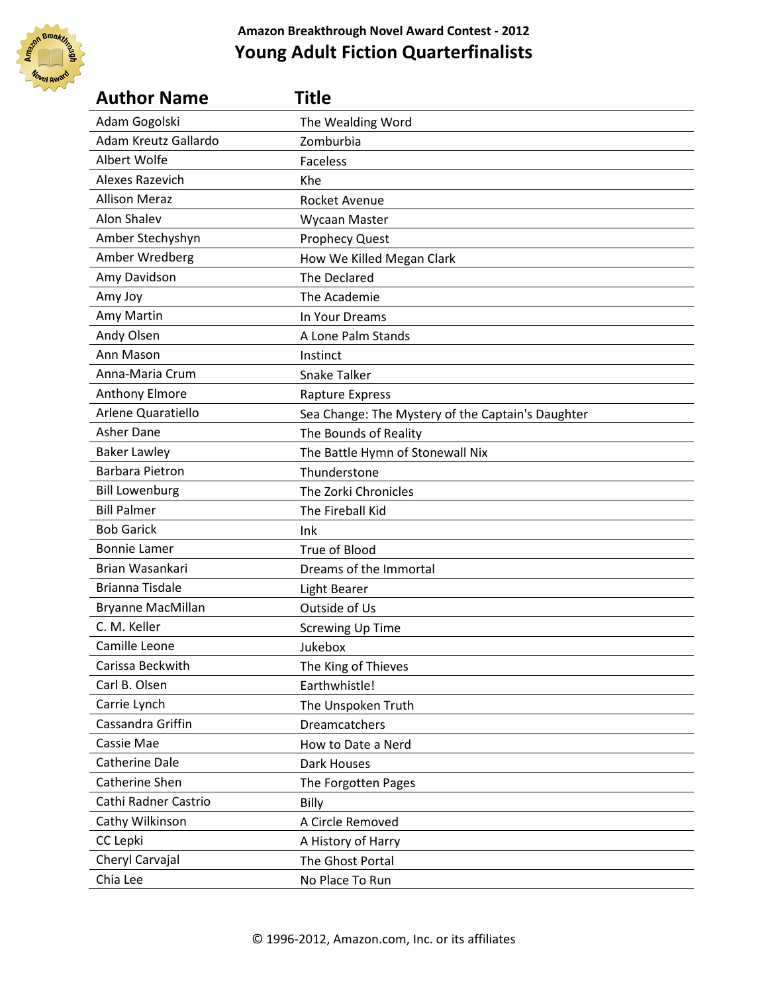

| <b>Author Name</b>     | Title                                             |
|------------------------|---------------------------------------------------|
| Adam Gogolski          | The Wealding Word                                 |
| Adam Kreutz Gallardo   | Zomburbia                                         |
| Albert Wolfe           | <b>Faceless</b>                                   |
| Alexes Razevich        | Khe                                               |
| <b>Allison Meraz</b>   | <b>Rocket Avenue</b>                              |
| Alon Shalev            | Wycaan Master                                     |
| Amber Stechyshyn       | <b>Prophecy Quest</b>                             |
| Amber Wredberg         | How We Killed Megan Clark                         |
| Amy Davidson           | The Declared                                      |
| Amy Joy                | The Academie                                      |
| Amy Martin             | In Your Dreams                                    |
| Andy Olsen             | A Lone Palm Stands                                |
| Ann Mason              | Instinct                                          |
| Anna-Maria Crum        | <b>Snake Talker</b>                               |
| <b>Anthony Elmore</b>  | <b>Rapture Express</b>                            |
| Arlene Quaratiello     | Sea Change: The Mystery of the Captain's Daughter |
| Asher Dane             | The Bounds of Reality                             |
| <b>Baker Lawley</b>    | The Battle Hymn of Stonewall Nix                  |
| <b>Barbara Pietron</b> | Thunderstone                                      |
| <b>Bill Lowenburg</b>  | The Zorki Chronicles                              |
| <b>Bill Palmer</b>     | The Fireball Kid                                  |
| <b>Bob Garick</b>      | Ink                                               |
| <b>Bonnie Lamer</b>    | True of Blood                                     |
| Brian Wasankari        | Dreams of the Immortal                            |
| <b>Brianna Tisdale</b> | <b>Light Bearer</b>                               |
| Bryanne MacMillan      | Outside of Us                                     |
| C. M. Keller           | <b>Screwing Up Time</b>                           |
| Camille Leone          | Jukebox                                           |
| Carissa Beckwith       | The King of Thieves                               |
| Carl B. Olsen          | Earthwhistle!                                     |
| Carrie Lynch           | The Unspoken Truth                                |
| Cassandra Griffin      | <b>Dreamcatchers</b>                              |
| Cassie Mae             | How to Date a Nerd                                |
| <b>Catherine Dale</b>  | Dark Houses                                       |
| Catherine Shen         | The Forgotten Pages                               |
| Cathi Radner Castrio   | Billy                                             |
| Cathy Wilkinson        | A Circle Removed                                  |
| CC Lepki               | A History of Harry                                |
| Cheryl Carvajal        | The Ghost Portal                                  |
| Chia Lee               | No Place To Run                                   |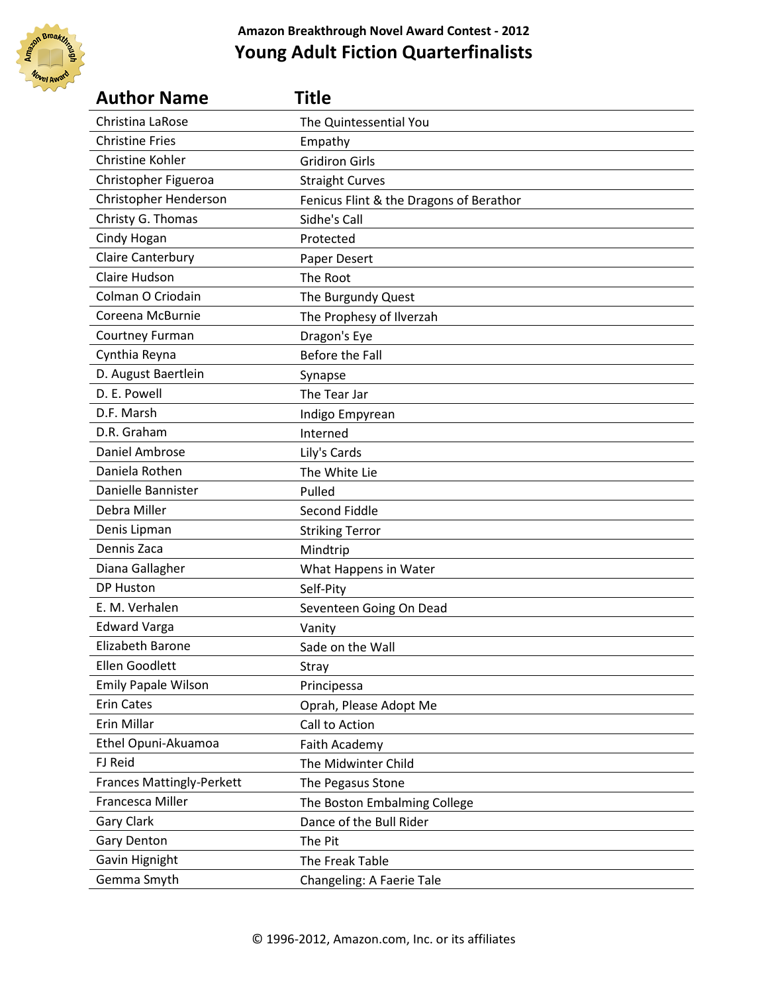

| <b>Author Name</b>               | Title                                   |
|----------------------------------|-----------------------------------------|
| Christina LaRose                 | The Quintessential You                  |
| <b>Christine Fries</b>           | Empathy                                 |
| Christine Kohler                 | <b>Gridiron Girls</b>                   |
| Christopher Figueroa             | <b>Straight Curves</b>                  |
| Christopher Henderson            | Fenicus Flint & the Dragons of Berathor |
| Christy G. Thomas                | Sidhe's Call                            |
| Cindy Hogan                      | Protected                               |
| Claire Canterbury                | Paper Desert                            |
| Claire Hudson                    | The Root                                |
| Colman O Criodain                | The Burgundy Quest                      |
| Coreena McBurnie                 | The Prophesy of Ilverzah                |
| Courtney Furman                  | Dragon's Eye                            |
| Cynthia Reyna                    | Before the Fall                         |
| D. August Baertlein              | Synapse                                 |
| D. E. Powell                     | The Tear Jar                            |
| D.F. Marsh                       | Indigo Empyrean                         |
| D.R. Graham                      | Interned                                |
| Daniel Ambrose                   | Lily's Cards                            |
| Daniela Rothen                   | The White Lie                           |
| Danielle Bannister               | Pulled                                  |
| Debra Miller                     | Second Fiddle                           |
| Denis Lipman                     | <b>Striking Terror</b>                  |
| Dennis Zaca                      | Mindtrip                                |
| Diana Gallagher                  | What Happens in Water                   |
| <b>DP Huston</b>                 | Self-Pity                               |
| E. M. Verhalen                   | Seventeen Going On Dead                 |
| <b>Edward Varga</b>              | Vanity                                  |
| Elizabeth Barone                 | Sade on the Wall                        |
| <b>Ellen Goodlett</b>            | Stray                                   |
| <b>Emily Papale Wilson</b>       | Principessa                             |
| <b>Erin Cates</b>                | Oprah, Please Adopt Me                  |
| Erin Millar                      | Call to Action                          |
| Ethel Opuni-Akuamoa              | Faith Academy                           |
| FJ Reid                          | The Midwinter Child                     |
| <b>Frances Mattingly-Perkett</b> | The Pegasus Stone                       |
| Francesca Miller                 | The Boston Embalming College            |
| Gary Clark                       | Dance of the Bull Rider                 |
| Gary Denton                      | The Pit                                 |
| Gavin Hignight                   | The Freak Table                         |
| Gemma Smyth                      | Changeling: A Faerie Tale               |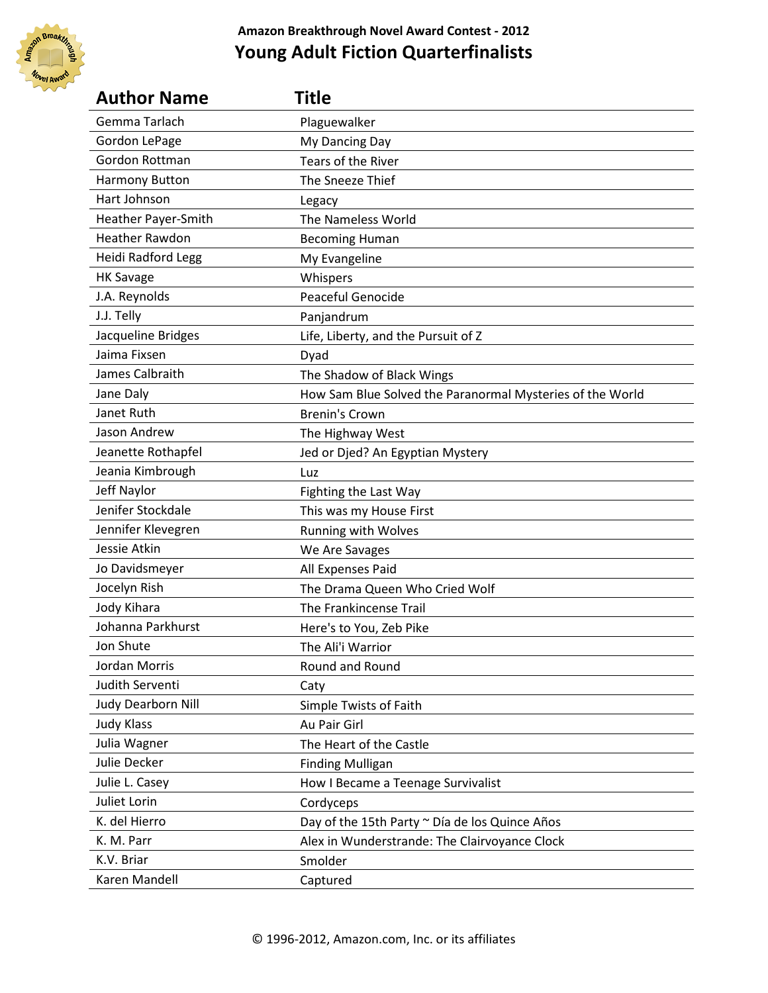

| <b>Author Name</b>        | Title                                                     |
|---------------------------|-----------------------------------------------------------|
| Gemma Tarlach             | Plaguewalker                                              |
| Gordon LePage             | My Dancing Day                                            |
| Gordon Rottman            | Tears of the River                                        |
| Harmony Button            | The Sneeze Thief                                          |
| Hart Johnson              | Legacy                                                    |
| Heather Payer-Smith       | The Nameless World                                        |
| <b>Heather Rawdon</b>     | <b>Becoming Human</b>                                     |
| <b>Heidi Radford Legg</b> | My Evangeline                                             |
| <b>HK Savage</b>          | Whispers                                                  |
| J.A. Reynolds             | Peaceful Genocide                                         |
| J.J. Telly                | Panjandrum                                                |
| Jacqueline Bridges        | Life, Liberty, and the Pursuit of Z                       |
| Jaima Fixsen              | Dyad                                                      |
| James Calbraith           | The Shadow of Black Wings                                 |
| Jane Daly                 | How Sam Blue Solved the Paranormal Mysteries of the World |
| Janet Ruth                | <b>Brenin's Crown</b>                                     |
| Jason Andrew              | The Highway West                                          |
| Jeanette Rothapfel        | Jed or Djed? An Egyptian Mystery                          |
| Jeania Kimbrough          | Luz                                                       |
| Jeff Naylor               | Fighting the Last Way                                     |
| Jenifer Stockdale         | This was my House First                                   |
| Jennifer Klevegren        | Running with Wolves                                       |
| Jessie Atkin              | We Are Savages                                            |
| Jo Davidsmeyer            | All Expenses Paid                                         |
| Jocelyn Rish              | The Drama Queen Who Cried Wolf                            |
| Jody Kihara               | The Frankincense Trail                                    |
| Johanna Parkhurst         | Here's to You, Zeb Pike                                   |
| <b>Jon Shute</b>          | The Ali'i Warrior                                         |
| Jordan Morris             | Round and Round                                           |
| Judith Serventi           | Caty                                                      |
| Judy Dearborn Nill        | Simple Twists of Faith                                    |
| <b>Judy Klass</b>         | Au Pair Girl                                              |
| Julia Wagner              | The Heart of the Castle                                   |
| Julie Decker              | <b>Finding Mulligan</b>                                   |
| Julie L. Casey            | How I Became a Teenage Survivalist                        |
| Juliet Lorin              | Cordyceps                                                 |
| K. del Hierro             | Day of the 15th Party ~ Día de los Quince Años            |
| K. M. Parr                | Alex in Wunderstrande: The Clairvoyance Clock             |
| K.V. Briar                | Smolder                                                   |
| Karen Mandell             | Captured                                                  |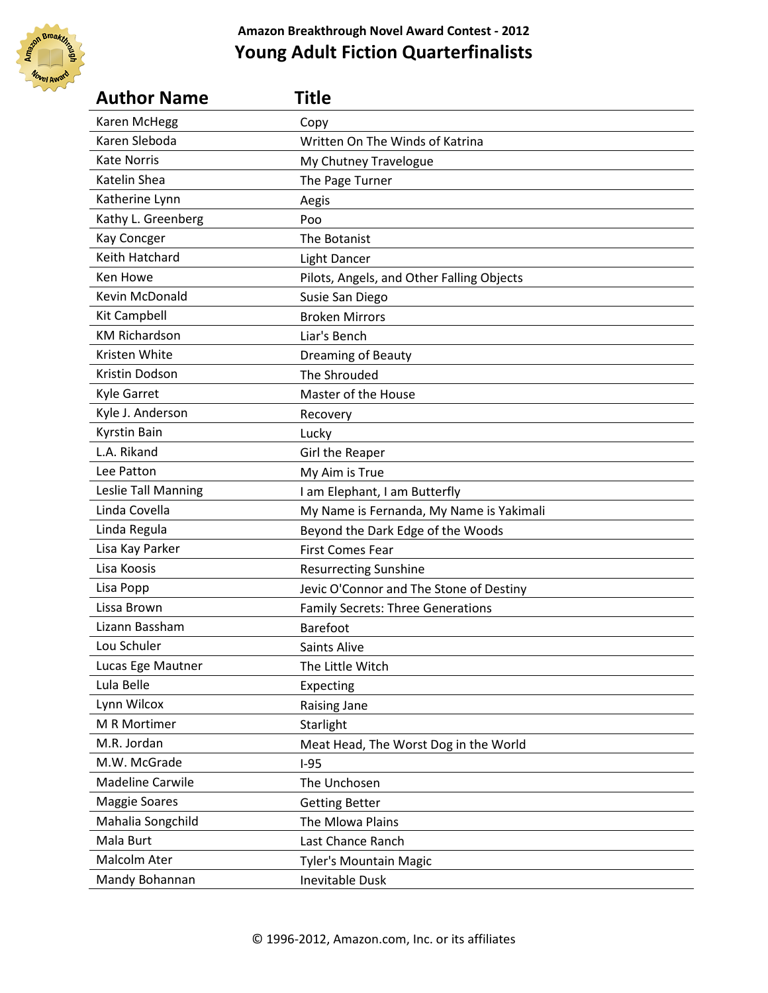

| <b>Author Name</b>      | Title                                     |
|-------------------------|-------------------------------------------|
| Karen McHegg            | Copy                                      |
| Karen Sleboda           | Written On The Winds of Katrina           |
| <b>Kate Norris</b>      | My Chutney Travelogue                     |
| Katelin Shea            | The Page Turner                           |
| Katherine Lynn          | Aegis                                     |
| Kathy L. Greenberg      | Poo                                       |
| Kay Concger             | The Botanist                              |
| <b>Keith Hatchard</b>   | <b>Light Dancer</b>                       |
| Ken Howe                | Pilots, Angels, and Other Falling Objects |
| Kevin McDonald          | Susie San Diego                           |
| Kit Campbell            | <b>Broken Mirrors</b>                     |
| <b>KM Richardson</b>    | Liar's Bench                              |
| Kristen White           | <b>Dreaming of Beauty</b>                 |
| Kristin Dodson          | The Shrouded                              |
| <b>Kyle Garret</b>      | Master of the House                       |
| Kyle J. Anderson        | Recovery                                  |
| <b>Kyrstin Bain</b>     | Lucky                                     |
| L.A. Rikand             | Girl the Reaper                           |
| Lee Patton              | My Aim is True                            |
| Leslie Tall Manning     | I am Elephant, I am Butterfly             |
| Linda Covella           | My Name is Fernanda, My Name is Yakimali  |
| Linda Regula            | Beyond the Dark Edge of the Woods         |
| Lisa Kay Parker         | <b>First Comes Fear</b>                   |
| Lisa Koosis             | <b>Resurrecting Sunshine</b>              |
| Lisa Popp               | Jevic O'Connor and The Stone of Destiny   |
| Lissa Brown             | <b>Family Secrets: Three Generations</b>  |
| Lizann Bassham          | <b>Barefoot</b>                           |
| Lou Schuler             | Saints Alive                              |
| Lucas Ege Mautner       | The Little Witch                          |
| Lula Belle              | Expecting                                 |
| Lynn Wilcox             | Raising Jane                              |
| M R Mortimer            | Starlight                                 |
| M.R. Jordan             | Meat Head, The Worst Dog in the World     |
| M.W. McGrade            | $I-95$                                    |
| <b>Madeline Carwile</b> | The Unchosen                              |
| <b>Maggie Soares</b>    | <b>Getting Better</b>                     |
| Mahalia Songchild       | The Mlowa Plains                          |
| Mala Burt               | Last Chance Ranch                         |
| Malcolm Ater            | Tyler's Mountain Magic                    |
| Mandy Bohannan          | Inevitable Dusk                           |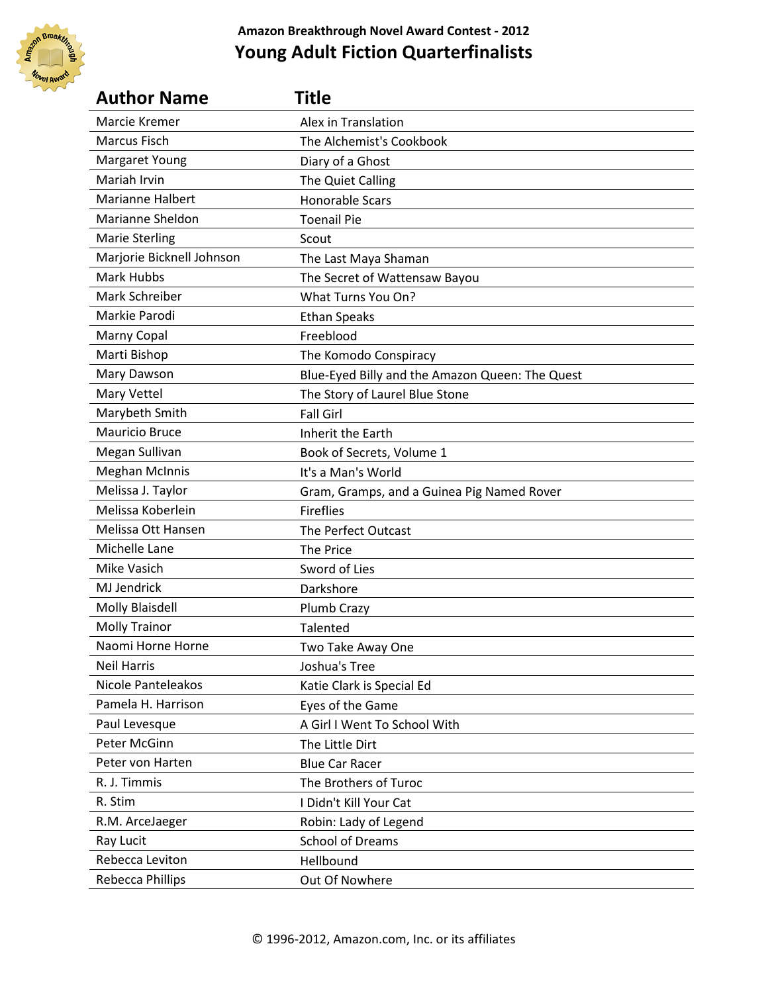

| <b>Author Name</b>        | Title                                           |
|---------------------------|-------------------------------------------------|
| Marcie Kremer             | Alex in Translation                             |
| Marcus Fisch              | The Alchemist's Cookbook                        |
| <b>Margaret Young</b>     | Diary of a Ghost                                |
| Mariah Irvin              | The Quiet Calling                               |
| <b>Marianne Halbert</b>   | <b>Honorable Scars</b>                          |
| Marianne Sheldon          | <b>Toenail Pie</b>                              |
| <b>Marie Sterling</b>     | Scout                                           |
| Marjorie Bicknell Johnson | The Last Maya Shaman                            |
| Mark Hubbs                | The Secret of Wattensaw Bayou                   |
| Mark Schreiber            | What Turns You On?                              |
| Markie Parodi             | <b>Ethan Speaks</b>                             |
| <b>Marny Copal</b>        | Freeblood                                       |
| Marti Bishop              | The Komodo Conspiracy                           |
| Mary Dawson               | Blue-Eyed Billy and the Amazon Queen: The Quest |
| Mary Vettel               | The Story of Laurel Blue Stone                  |
| Marybeth Smith            | <b>Fall Girl</b>                                |
| <b>Mauricio Bruce</b>     | Inherit the Earth                               |
| Megan Sullivan            | Book of Secrets, Volume 1                       |
| <b>Meghan McInnis</b>     | It's a Man's World                              |
| Melissa J. Taylor         | Gram, Gramps, and a Guinea Pig Named Rover      |
| Melissa Koberlein         | <b>Fireflies</b>                                |
| Melissa Ott Hansen        | The Perfect Outcast                             |
| Michelle Lane             | The Price                                       |
| Mike Vasich               | Sword of Lies                                   |
| MJ Jendrick               | Darkshore                                       |
| <b>Molly Blaisdell</b>    | Plumb Crazy                                     |
| <b>Molly Trainor</b>      | Talented                                        |
| Naomi Horne Horne         | Two Take Away One                               |
| <b>Neil Harris</b>        | Joshua's Tree                                   |
| Nicole Panteleakos        | Katie Clark is Special Ed                       |
| Pamela H. Harrison        | Eyes of the Game                                |
| Paul Levesque             | A Girl I Went To School With                    |
| Peter McGinn              | The Little Dirt                                 |
| Peter von Harten          | <b>Blue Car Racer</b>                           |
| R. J. Timmis              | The Brothers of Turoc                           |
| R. Stim                   | I Didn't Kill Your Cat                          |
| R.M. ArceJaeger           | Robin: Lady of Legend                           |
| Ray Lucit                 | <b>School of Dreams</b>                         |
| Rebecca Leviton           | Hellbound                                       |
| Rebecca Phillips          | Out Of Nowhere                                  |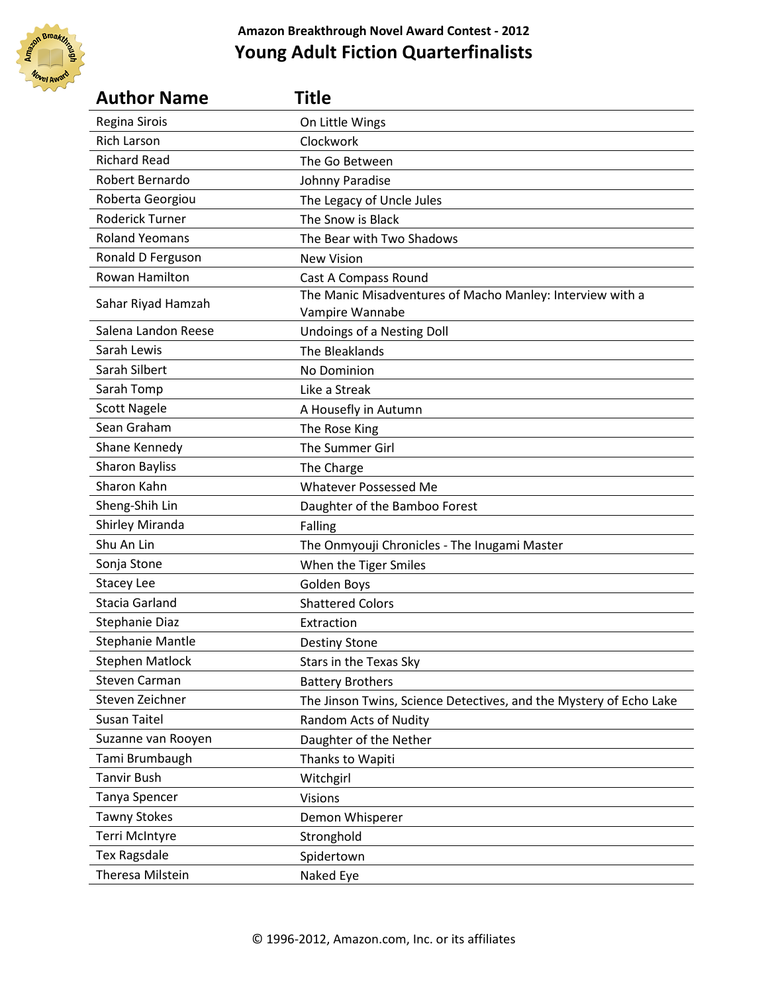

| <b>Author Name</b>      | Title                                                                        |
|-------------------------|------------------------------------------------------------------------------|
| Regina Sirois           | On Little Wings                                                              |
| <b>Rich Larson</b>      | Clockwork                                                                    |
| <b>Richard Read</b>     | The Go Between                                                               |
| Robert Bernardo         | Johnny Paradise                                                              |
| Roberta Georgiou        | The Legacy of Uncle Jules                                                    |
| Roderick Turner         | The Snow is Black                                                            |
| <b>Roland Yeomans</b>   | The Bear with Two Shadows                                                    |
| Ronald D Ferguson       | <b>New Vision</b>                                                            |
| Rowan Hamilton          | Cast A Compass Round                                                         |
| Sahar Riyad Hamzah      | The Manic Misadventures of Macho Manley: Interview with a<br>Vampire Wannabe |
| Salena Landon Reese     | Undoings of a Nesting Doll                                                   |
| Sarah Lewis             | The Bleaklands                                                               |
| Sarah Silbert           | No Dominion                                                                  |
| Sarah Tomp              | Like a Streak                                                                |
| <b>Scott Nagele</b>     | A Housefly in Autumn                                                         |
| Sean Graham             | The Rose King                                                                |
| Shane Kennedy           | The Summer Girl                                                              |
| <b>Sharon Bayliss</b>   | The Charge                                                                   |
| Sharon Kahn             | <b>Whatever Possessed Me</b>                                                 |
| Sheng-Shih Lin          | Daughter of the Bamboo Forest                                                |
| Shirley Miranda         | Falling                                                                      |
| Shu An Lin              | The Onmyouji Chronicles - The Inugami Master                                 |
| Sonja Stone             | When the Tiger Smiles                                                        |
| <b>Stacey Lee</b>       | Golden Boys                                                                  |
| Stacia Garland          | <b>Shattered Colors</b>                                                      |
| <b>Stephanie Diaz</b>   | Extraction                                                                   |
| <b>Stephanie Mantle</b> | <b>Destiny Stone</b>                                                         |
| <b>Stephen Matlock</b>  | Stars in the Texas Sky                                                       |
| <b>Steven Carman</b>    | <b>Battery Brothers</b>                                                      |
| Steven Zeichner         | The Jinson Twins, Science Detectives, and the Mystery of Echo Lake           |
| <b>Susan Taitel</b>     | Random Acts of Nudity                                                        |
| Suzanne van Rooyen      | Daughter of the Nether                                                       |
| Tami Brumbaugh          | Thanks to Wapiti                                                             |
| <b>Tanvir Bush</b>      | Witchgirl                                                                    |
| Tanya Spencer           | <b>Visions</b>                                                               |
| <b>Tawny Stokes</b>     | Demon Whisperer                                                              |
| Terri McIntyre          | Stronghold                                                                   |
| <b>Tex Ragsdale</b>     | Spidertown                                                                   |
| Theresa Milstein        | Naked Eye                                                                    |